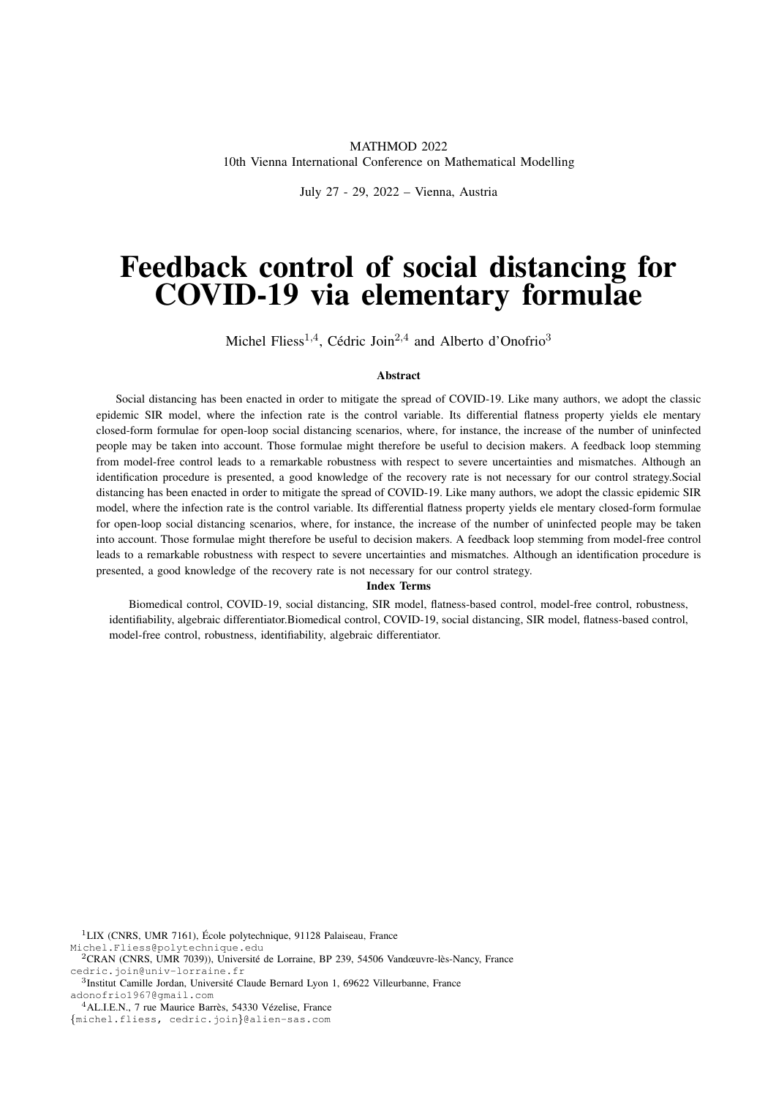## MATHMOD 2022 10th Vienna International Conference on Mathematical Modelling

July 27 - 29, 2022 – Vienna, Austria

# Feedback control of social distancing for COVID-19 via elementary formulae

Michel Fliess<sup>1,4</sup>, Cédric Join<sup>2,4</sup> and Alberto d'Onofrio<sup>3</sup>

#### Abstract

Social distancing has been enacted in order to mitigate the spread of COVID-19. Like many authors, we adopt the classic epidemic SIR model, where the infection rate is the control variable. Its differential flatness property yields ele mentary closed-form formulae for open-loop social distancing scenarios, where, for instance, the increase of the number of uninfected people may be taken into account. Those formulae might therefore be useful to decision makers. A feedback loop stemming from model-free control leads to a remarkable robustness with respect to severe uncertainties and mismatches. Although an identification procedure is presented, a good knowledge of the recovery rate is not necessary for our control strategy.Social distancing has been enacted in order to mitigate the spread of COVID-19. Like many authors, we adopt the classic epidemic SIR model, where the infection rate is the control variable. Its differential flatness property yields ele mentary closed-form formulae for open-loop social distancing scenarios, where, for instance, the increase of the number of uninfected people may be taken into account. Those formulae might therefore be useful to decision makers. A feedback loop stemming from model-free control leads to a remarkable robustness with respect to severe uncertainties and mismatches. Although an identification procedure is presented, a good knowledge of the recovery rate is not necessary for our control strategy.

#### Index Terms

Biomedical control, COVID-19, social distancing, SIR model, flatness-based control, model-free control, robustness, identifiability, algebraic differentiator.Biomedical control, COVID-19, social distancing, SIR model, flatness-based control, model-free control, robustness, identifiability, algebraic differentiator.

 $1$ LIX (CNRS, UMR 7161), École polytechnique, 91128 Palaiseau, France Michel.Fliess@polytechnique.edu

<sup>3</sup>Institut Camille Jordan, Université Claude Bernard Lyon 1, 69622 Villeurbanne, France adonofrio1967@gmail.com

 $2$ CRAN (CNRS, UMR 7039)), Université de Lorraine, BP 239, 54506 Vandœuvre-lès-Nancy, France cedric.join@univ-lorraine.fr

 $4$ AL.I.E.N., 7 rue Maurice Barrès, 54330 Vézelise, France

<sup>{</sup>michel.fliess, cedric.join}@alien-sas.com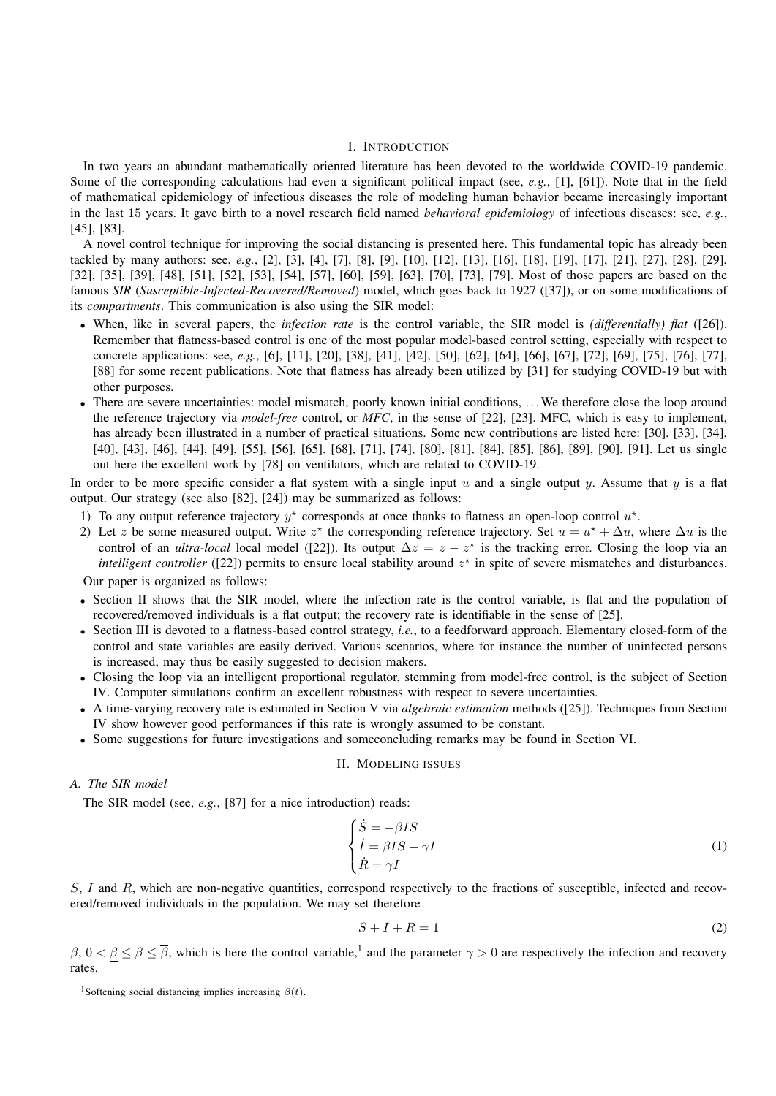## I. INTRODUCTION

In two years an abundant mathematically oriented literature has been devoted to the worldwide COVID-19 pandemic. Some of the corresponding calculations had even a significant political impact (see, *e.g.*, [1], [61]). Note that in the field of mathematical epidemiology of infectious diseases the role of modeling human behavior became increasingly important in the last 15 years. It gave birth to a novel research field named *behavioral epidemiology* of infectious diseases: see, *e.g.*, [45], [83].

A novel control technique for improving the social distancing is presented here. This fundamental topic has already been tackled by many authors: see, *e.g.*, [2], [3], [4], [7], [8], [9], [10], [12], [13], [16], [18], [19], [17], [21], [27], [28], [29], [32], [35], [39], [48], [51], [52], [53], [54], [57], [60], [59], [63], [70], [73], [79]. Most of those papers are based on the famous *SIR* (*Susceptible-Infected-Recovered/Removed*) model, which goes back to 1927 ([37]), or on some modifications of its *compartments*. This communication is also using the SIR model:

- When, like in several papers, the *infection rate* is the control variable, the SIR model is *(differentially) flat* ([26]). Remember that flatness-based control is one of the most popular model-based control setting, especially with respect to concrete applications: see, *e.g.*, [6], [11], [20], [38], [41], [42], [50], [62], [64], [66], [67], [72], [69], [75], [76], [77], [88] for some recent publications. Note that flatness has already been utilized by [31] for studying COVID-19 but with other purposes.
- There are severe uncertainties: model mismatch, poorly known initial conditions, ... We therefore close the loop around the reference trajectory via *model-free* control, or *MFC*, in the sense of [22], [23]. MFC, which is easy to implement, has already been illustrated in a number of practical situations. Some new contributions are listed here: [30], [33], [34], [40], [43], [46], [44], [49], [55], [56], [65], [68], [71], [74], [80], [81], [84], [85], [86], [89], [90], [91]. Let us single out here the excellent work by [78] on ventilators, which are related to COVID-19.

In order to be more specific consider a flat system with a single input u and a single output y. Assume that y is a flat output. Our strategy (see also [82], [24]) may be summarized as follows:

- 1) To any output reference trajectory  $y^*$  corresponds at once thanks to flatness an open-loop control  $u^*$ .
- 2) Let z be some measured output. Write  $z^*$  the corresponding reference trajectory. Set  $u = u^* + \Delta u$ , where  $\Delta u$  is the control of an *ultra-local* local model ([22]). Its output  $\Delta z = z - z^*$  is the tracking error. Closing the loop via an intelligent controller ([22]) permits to ensure local stability around  $z^*$  in spite of severe mismatches and disturbances.

Our paper is organized as follows:

- Section II shows that the SIR model, where the infection rate is the control variable, is flat and the population of recovered/removed individuals is a flat output; the recovery rate is identifiable in the sense of [25].
- Section III is devoted to a flatness-based control strategy, *i.e.*, to a feedforward approach. Elementary closed-form of the control and state variables are easily derived. Various scenarios, where for instance the number of uninfected persons is increased, may thus be easily suggested to decision makers.
- Closing the loop via an intelligent proportional regulator, stemming from model-free control, is the subject of Section IV. Computer simulations confirm an excellent robustness with respect to severe uncertainties.
- A time-varying recovery rate is estimated in Section V via *algebraic estimation* methods ([25]). Techniques from Section IV show however good performances if this rate is wrongly assumed to be constant.
- Some suggestions for future investigations and someconcluding remarks may be found in Section VI.

#### II. MODELING ISSUES

# *A. The SIR model*

The SIR model (see, *e.g.*, [87] for a nice introduction) reads:

$$
\begin{cases}\n\dot{S} = -\beta IS \\
\dot{I} = \beta IS - \gamma I \\
\dot{R} = \gamma I\n\end{cases}
$$
\n(1)

S, I and R, which are non-negative quantities, correspond respectively to the fractions of susceptible, infected and recovered/removed individuals in the population. We may set therefore

$$
S + I + R = 1\tag{2}
$$

 $\beta, 0 < \beta \le \overline{\beta}$ , which is here the control variable,<sup>1</sup> and the parameter  $\gamma > 0$  are respectively the infection and recovery rates.

<sup>&</sup>lt;sup>1</sup>Softening social distancing implies increasing  $\beta(t)$ .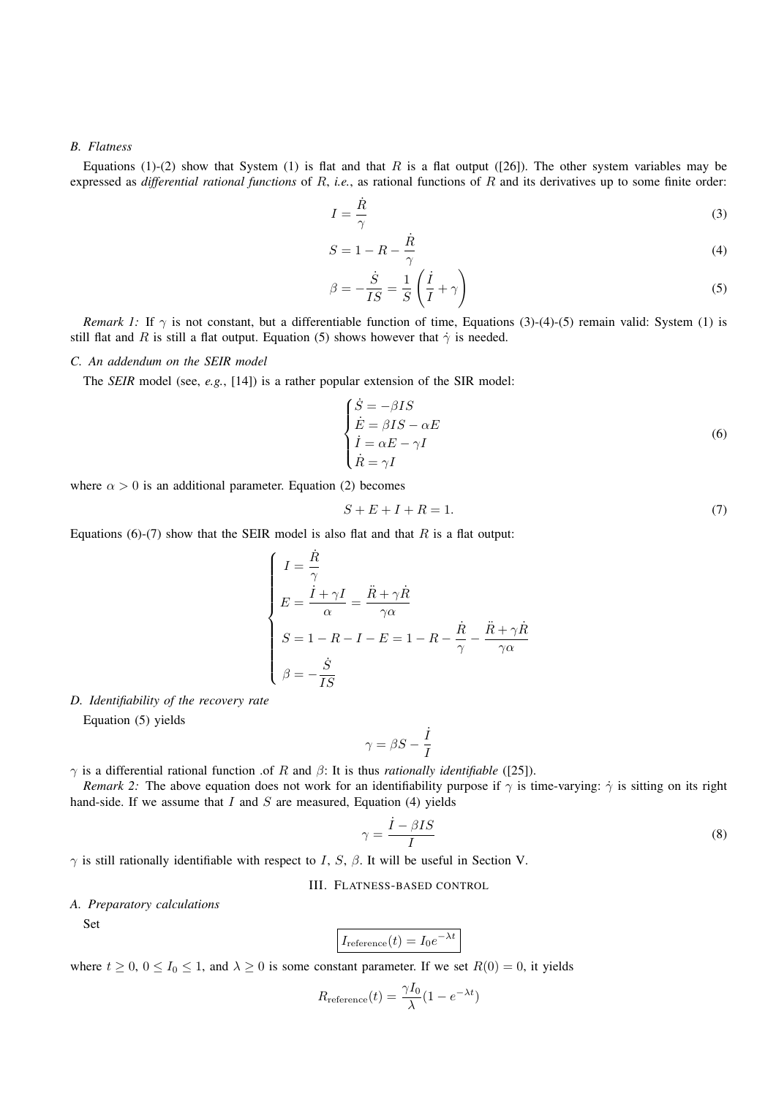#### *B. Flatness*

Equations (1)-(2) show that System (1) is flat and that R is a flat output ([26]). The other system variables may be expressed as *differential rational functions* of R, *i.e.*, as rational functions of R and its derivatives up to some finite order:

$$
I = \frac{\dot{R}}{\gamma} \tag{3}
$$

$$
S = 1 - R - \frac{\dot{R}}{\gamma} \tag{4}
$$

$$
\beta = -\frac{\dot{S}}{IS} = \frac{1}{S} \left( \frac{\dot{I}}{I} + \gamma \right)
$$
\n(5)

*Remark 1:* If  $\gamma$  is not constant, but a differentiable function of time, Equations (3)-(4)-(5) remain valid: System (1) is still flat and R is still a flat output. Equation (5) shows however that  $\dot{\gamma}$  is needed.

## *C. An addendum on the SEIR model*

The *SEIR* model (see, *e.g.*, [14]) is a rather popular extension of the SIR model:

$$
\begin{cases}\n\dot{S} = -\beta IS \\
\dot{E} = \beta IS - \alpha E \\
\dot{I} = \alpha E - \gamma I \\
\dot{R} = \gamma I\n\end{cases}
$$
\n(6)

where  $\alpha > 0$  is an additional parameter. Equation (2) becomes

$$
S + E + I + R = 1.\tag{7}
$$

Equations (6)-(7) show that the SEIR model is also flat and that  $R$  is a flat output:

$$
\begin{cases}\nI = \frac{\dot{R}}{\gamma} \\
E = \frac{\ddot{I} + \gamma I}{\alpha} = \frac{\ddot{R} + \gamma \dot{R}}{\gamma \alpha} \\
S = 1 - R - I - E = 1 - R - \frac{\dot{R}}{\gamma} - \frac{\ddot{R} + \gamma \dot{R}}{\gamma \alpha} \\
\beta = -\frac{\dot{S}}{IS}\n\end{cases}
$$

#### *D. Identifiability of the recovery rate*

Equation (5) yields

$$
\gamma = \beta S - \frac{\dot{I}}{I}
$$

 $γ$  is a differential rational function .of R and  $β$ : It is thus *rationally identifiable* ([25]).

*Remark 2:* The above equation does not work for an identifiability purpose if  $\gamma$  is time-varying:  $\dot{\gamma}$  is sitting on its right hand-side. If we assume that  $I$  and  $S$  are measured, Equation (4) yields

$$
\gamma = \frac{\dot{I} - \beta IS}{I} \tag{8}
$$

 $\gamma$  is still rationally identifiable with respect to I, S,  $\beta$ . It will be useful in Section V.

### III. FLATNESS-BASED CONTROL

## *A. Preparatory calculations*

Set

$$
I_{\text{reference}}(t) = I_0 e^{-\lambda t}
$$

where  $t \ge 0$ ,  $0 \le I_0 \le 1$ , and  $\lambda \ge 0$  is some constant parameter. If we set  $R(0) = 0$ , it yields

$$
R_{\text{reference}}(t) = \frac{\gamma I_0}{\lambda} (1 - e^{-\lambda t})
$$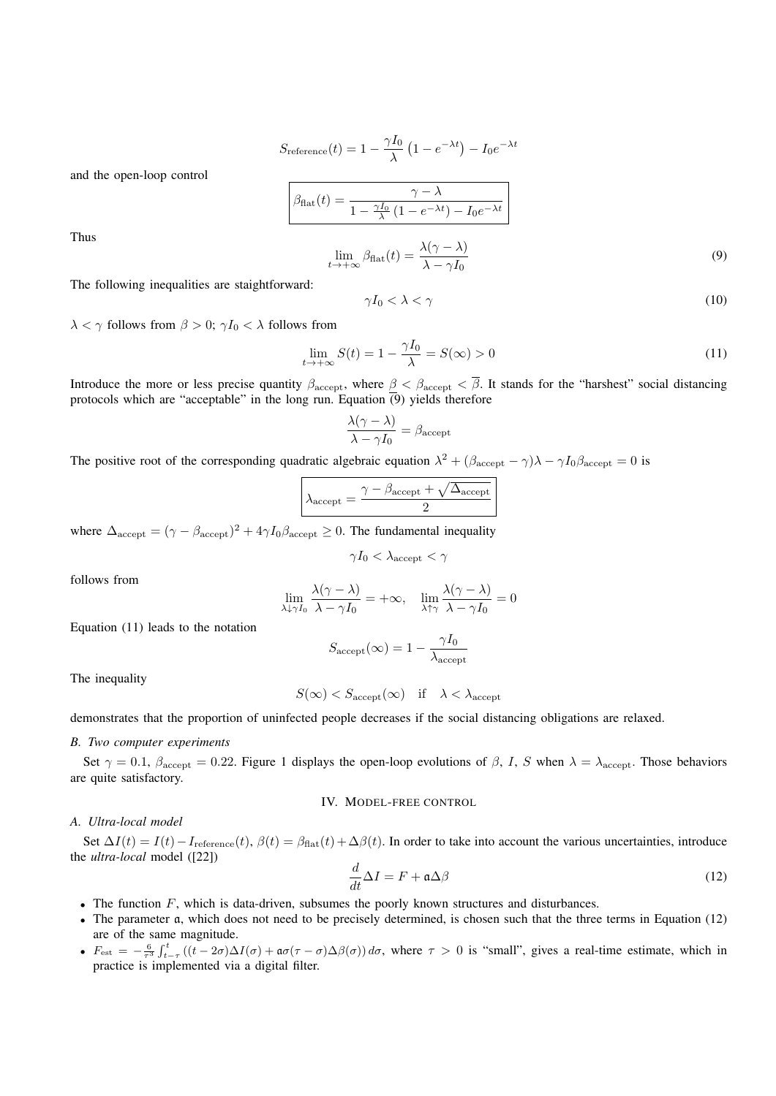$$
S_{\text{reference}}(t) = 1 - \frac{\gamma I_0}{\lambda} \left( 1 - e^{-\lambda t} \right) - I_0 e^{-\lambda t}
$$

and the open-loop control

$$
\beta_{\text{flat}}(t) = \frac{\gamma - \lambda}{1 - \frac{\gamma I_0}{\lambda} (1 - e^{-\lambda t}) - I_0 e^{-\lambda t}}
$$

$$
\lim_{t \to +\infty} \beta_{\text{flat}}(t) = \frac{\lambda(\gamma - \lambda)}{\lambda - \gamma I_0}
$$
(9)

Thus

The following inequalities are staightforward:

$$
\gamma I_0 < \lambda < \gamma \tag{10}
$$

 $\lambda < \gamma$  follows from  $\beta > 0$ ;  $\gamma I_0 < \lambda$  follows from

$$
\lim_{t \to +\infty} S(t) = 1 - \frac{\gamma I_0}{\lambda} = S(\infty) > 0
$$
\n(11)

Introduce the more or less precise quantity  $\beta_{\text{accept}}$ , where  $\beta < \beta_{\text{accept}} < \overline{\beta}$ . It stands for the "harshest" social distancing protocols which are "acceptable" in the long run. Equation  $\overline{(9)}$  yields therefore

$$
\frac{\lambda(\gamma - \lambda)}{\lambda - \gamma I_0} = \beta_{\text{accept}}
$$

The positive root of the corresponding quadratic algebraic equation  $\lambda^2 + (\beta_{\text{accept}} - \gamma)\lambda - \gamma I_0 \beta_{\text{accept}} = 0$  is

$$
\lambda_{\text{accept}} = \frac{\gamma - \beta_{\text{accept}} + \sqrt{\Delta_{\text{accept}}}}{2}
$$

where  $\Delta_{\text{accept}} = (\gamma - \beta_{\text{accept}})^2 + 4\gamma I_0 \beta_{\text{accept}} \ge 0$ . The fundamental inequality

$$
\gamma I_0 < \lambda_{\mathrm{accept}} < \gamma
$$

follows from

$$
\lim_{\lambda \downarrow \gamma I_0} \frac{\lambda(\gamma - \lambda)}{\lambda - \gamma I_0} = +\infty, \quad \lim_{\lambda \uparrow \gamma} \frac{\lambda(\gamma - \lambda)}{\lambda - \gamma I_0} = 0
$$

Equation (11) leads to the notation

$$
S_{\text{accept}}(\infty) = 1 - \frac{\gamma I_0}{\lambda_{\text{accept}}}
$$

The inequality

$$
S(\infty) < S_{\text{accept}}(\infty) \quad \text{if} \quad \lambda < \lambda_{\text{accept}}
$$

demonstrates that the proportion of uninfected people decreases if the social distancing obligations are relaxed.

### *B. Two computer experiments*

Set  $\gamma = 0.1$ ,  $\beta_{\text{accept}} = 0.22$ . Figure 1 displays the open-loop evolutions of  $\beta$ , I, S when  $\lambda = \lambda_{\text{accept}}$ . Those behaviors are quite satisfactory.

IV. MODEL-FREE CONTROL

#### *A. Ultra-local model*

Set  $\Delta I(t) = I(t) - I_{\text{reference}}(t)$ ,  $\beta(t) = \beta_{\text{flat}}(t) + \Delta \beta(t)$ . In order to take into account the various uncertainties, introduce the *ultra-local* model ([22])

$$
\frac{d}{dt}\Delta I = F + \mathfrak{a}\Delta\beta\tag{12}
$$

- The function  $F$ , which is data-driven, subsumes the poorly known structures and disturbances.
- The parameter a, which does not need to be precisely determined, is chosen such that the three terms in Equation (12) are of the same magnitude.
- $F_{\text{est}} = -\frac{6}{\tau^3} \int_{t-\tau}^t ((t-2\sigma)\Delta I(\sigma) + \mathfrak{a}\sigma(\tau-\sigma)\Delta \beta(\sigma)) d\sigma$ , where  $\tau > 0$  is "small", gives a real-time estimate, which in practice is implemented via a digital filter.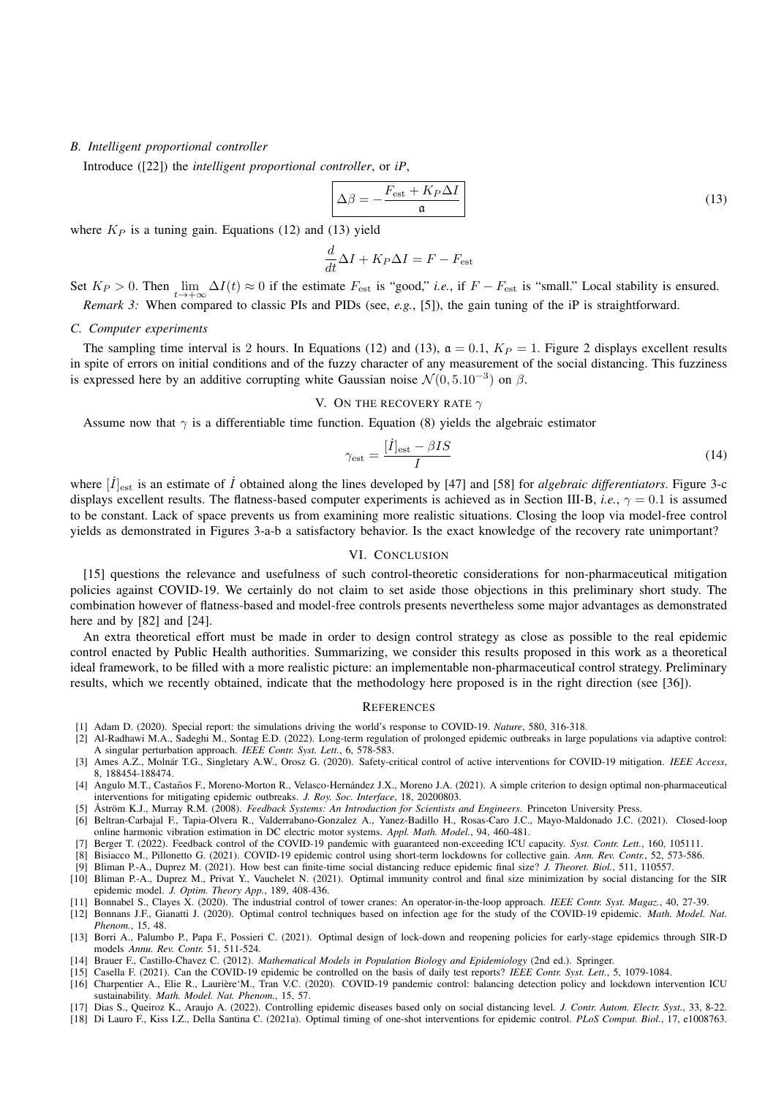### *B. Intelligent proportional controller*

Introduce ([22]) the *intelligent proportional controller*, or *iP*,

$$
\Delta \beta = -\frac{F_{\text{est}} + K_P \Delta I}{\mathfrak{a}} \tag{13}
$$

where  $K_P$  is a tuning gain. Equations (12) and (13) yield

$$
\frac{d}{dt}\Delta I + K_P \Delta I = F - F_{\text{est}}
$$

Set  $K_P > 0$ . Then  $\lim_{t \to +\infty} \Delta I(t) \approx 0$  if the estimate  $F_{\text{est}}$  is "good," *i.e.*, if  $F - F_{\text{est}}$  is "small." Local stability is ensured. *Remark 3:* When compared to classic PIs and PIDs (see, *e.g.*, [5]), the gain tuning of the iP is straightforward.

#### *C. Computer experiments*

The sampling time interval is 2 hours. In Equations (12) and (13),  $\mathfrak{a} = 0.1$ ,  $K_P = 1$ . Figure 2 displays excellent results in spite of errors on initial conditions and of the fuzzy character of any measurement of the social distancing. This fuzziness is expressed here by an additive corrupting white Gaussian noise  $\mathcal{N}(0, 5.10^{-3})$  on  $\beta$ .

### V. ON THE RECOVERY RATE  $\gamma$

Assume now that  $\gamma$  is a differentiable time function. Equation (8) yields the algebraic estimator

$$
\gamma_{\rm est} = \frac{[\dot{I}]_{\rm est} - \beta IS}{I} \tag{14}
$$

where  $[\dot{I}]_{\rm est}$  is an estimate of  $\dot{I}$  obtained along the lines developed by [47] and [58] for *algebraic differentiators*. Figure 3-c displays excellent results. The flatness-based computer experiments is achieved as in Section III-B, *i.e.*,  $\gamma = 0.1$  is assumed to be constant. Lack of space prevents us from examining more realistic situations. Closing the loop via model-free control yields as demonstrated in Figures 3-a-b a satisfactory behavior. Is the exact knowledge of the recovery rate unimportant?

#### VI. CONCLUSION

[15] questions the relevance and usefulness of such control-theoretic considerations for non-pharmaceutical mitigation policies against COVID-19. We certainly do not claim to set aside those objections in this preliminary short study. The combination however of flatness-based and model-free controls presents nevertheless some major advantages as demonstrated here and by [82] and [24].

An extra theoretical effort must be made in order to design control strategy as close as possible to the real epidemic control enacted by Public Health authorities. Summarizing, we consider this results proposed in this work as a theoretical ideal framework, to be filled with a more realistic picture: an implementable non-pharmaceutical control strategy. Preliminary results, which we recently obtained, indicate that the methodology here proposed is in the right direction (see [36]).

#### **REFERENCES**

- [1] Adam D. (2020). Special report: the simulations driving the world's response to COVID-19. *Nature*, 580, 316-318.
- [2] Al-Radhawi M.A., Sadeghi M., Sontag E.D. (2022). Long-term regulation of prolonged epidemic outbreaks in large populations via adaptive control: A singular perturbation approach. *IEEE Contr. Syst. Lett.*, 6, 578-583.
- [3] Ames A.Z., Molnár T.G., Singletary A.W., Orosz G. (2020). Safety-critical control of active interventions for COVID-19 mitigation. IEEE Access, 8, 188454-188474.
- [4] Angulo M.T., Castaños F., Moreno-Morton R., Velasco-Hernández J.X., Moreno J.A. (2021). A simple criterion to design optimal non-pharmaceutical interventions for mitigating epidemic outbreaks. *J. Roy. Soc. Interface*, 18, 20200803.
- [5] Åström K.J., Murray R.M. (2008). *Feedback Systems: An Introduction for Scientists and Engineers*. Princeton University Press.
- [6] Beltran-Carbajal F., Tapia-Olvera R., Valderrabano-Gonzalez A., Yanez-Badillo H., Rosas-Caro J.C., Mayo-Maldonado J.C. (2021). Closed-loop online harmonic vibration estimation in DC electric motor systems. *Appl. Math. Model.*, 94, 460-481.
- [7] Berger T. (2022). Feedback control of the COVID-19 pandemic with guaranteed non-exceeding ICU capacity. *Syst. Contr. Lett.*, 160, 105111.
- [8] Bisiacco M., Pillonetto G. (2021). COVID-19 epidemic control using short-term lockdowns for collective gain. *Ann. Rev. Contr.*, 52, 573-586.

[9] Bliman P.-A., Duprez M. (2021). How best can finite-time social distancing reduce epidemic final size? *J. Theoret. Biol.*, 511, 110557.

- [10] Bliman P.-A., Duprez M., Privat Y., Vauchelet N. (2021). Optimal immunity control and final size minimization by social distancing for the SIR epidemic model. *J. Optim. Theory App.*, 189, 408-436.
- [11] Bonnabel S., Clayes X. (2020). The industrial control of tower cranes: An operator-in-the-loop approach. *IEEE Contr. Syst. Magaz.*, 40, 27-39.
- [12] Bonnans J.F., Gianatti J. (2020). Optimal control techniques based on infection age for the study of the COVID-19 epidemic. *Math. Model. Nat. Phenom.*, 15, 48.
- [13] Borri A., Palumbo P., Papa F., Possieri C. (2021). Optimal design of lock-down and reopening policies for early-stage epidemics through SIR-D models *Annu. Rev. Contr.* 51, 511-524.
- [14] Brauer F., Castillo-Chavez C. (2012). *Mathematical Models in Population Biology and Epidemiology* (2nd ed.). Springer.
- [15] Casella F. (2021). Can the COVID-19 epidemic be controlled on the basis of daily test reports? *IEEE Contr. Syst. Lett.*, 5, 1079-1084. [16] Charpentier A., Elie R., Laurière'M., Tran V.C. (2020). COVID-19 pandemic control: balancing detection policy and lockdown intervention ICU
- sustainability. *Math. Model. Nat. Phenom.*, 15, 57. [17] Dias S., Queiroz K., Araujo A. (2022). Controlling epidemic diseases based only on social distancing level. *J. Contr. Autom. Electr. Syst.*, 33, 8-22.
- [18] Di Lauro F., Kiss I.Z., Della Santina C. (2021a). Optimal timing of one-shot interventions for epidemic control. *PLoS Comput. Biol.*, 17, e1008763.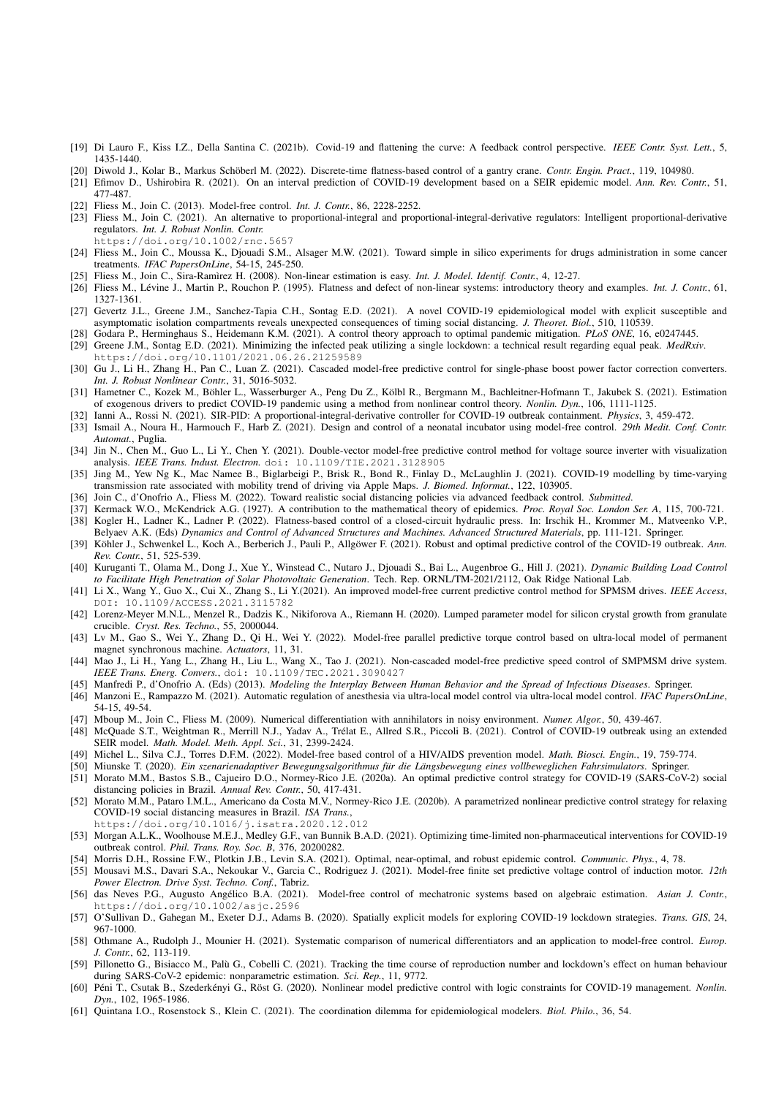- [19] Di Lauro F., Kiss I.Z., Della Santina C. (2021b). Covid-19 and flattening the curve: A feedback control perspective. *IEEE Contr. Syst. Lett.*, 5, 1435-1440.
- [20] Diwold J., Kolar B., Markus Schöberl M. (2022). Discrete-time flatness-based control of a gantry crane. *Contr. Engin. Pract.*, 119, 104980.
- [21] Efimov D., Ushirobira R. (2021). On an interval prediction of COVID-19 development based on a SEIR epidemic model. *Ann. Rev. Contr.*, 51, 477-487.
- [22] Fliess M., Join C. (2013). Model-free control. *Int. J. Contr.*, 86, 2228-2252.
- [23] Fliess M., Join C. (2021). An alternative to proportional-integral and proportional-integral-derivative regulators: Intelligent proportional-derivative regulators. *Int. J. Robust Nonlin. Contr.*
- https://doi.org/10.1002/rnc.5657
- [24] Fliess M., Join C., Moussa K., Djouadi S.M., Alsager M.W. (2021). Toward simple in silico experiments for drugs administration in some cancer treatments. *IFAC PapersOnLine*, 54-15, 245-250.
- [25] Fliess M., Join C., Sira-Ram`ırez H. (2008). Non-linear estimation is easy. *Int. J. Model. Identif. Contr.*, 4, 12-27.
- [26] Fliess M., Lévine J., Martin P., Rouchon P. (1995). Flatness and defect of non-linear systems: introductory theory and examples. *Int. J. Contr.*, 61, 1327-1361.
- [27] Gevertz J.L., Greene J.M., Sanchez-Tapia C.H., Sontag E.D. (2021). A novel COVID-19 epidemiological model with explicit susceptible and asymptomatic isolation compartments reveals unexpected consequences of timing social distancing. *J. Theoret. Biol.*, 510, 110539.
- [28] Godara P., Herminghaus S., Heidemann K.M. (2021). A control theory approach to optimal pandemic mitigation. *PLoS ONE*, 16, e0247445.
- [29] Greene J.M., Sontag E.D. (2021). Minimizing the infected peak utilizing a single lockdown: a technical result regarding equal peak. *MedRxiv*. https://doi.org/10.1101/2021.06.26.21259589
- [30] Gu J., Li H., Zhang H., Pan C., Luan Z. (2021). Cascaded model-free predictive control for single-phase boost power factor correction converters. *Int. J. Robust Nonlinear Contr.*, 31, 5016-5032.
- [31] Hametner C., Kozek M., Böhler L., Wasserburger A., Peng Du Z., Kölbl R., Bergmann M., Bachleitner-Hofmann T., Jakubek S. (2021). Estimation of exogenous drivers to predict COVID-19 pandemic using a method from nonlinear control theory. *Nonlin. Dyn.*, 106, 1111-1125.
- [32] Ianni A., Rossi N. (2021). SIR-PID: A proportional-integral-derivative controller for COVID-19 outbreak containment. *Physics*, 3, 459-472.
- [33] Ismail A., Noura H., Harmouch F., Harb Z. (2021). Design and control of a neonatal incubator using model-free control. *29th Medit. Conf. Contr. Automat.*, Puglia.
- [34] Jin N., Chen M., Guo L., Li Y., Chen Y. (2021). Double-vector model-free predictive control method for voltage source inverter with visualization analysis. *IEEE Trans. Indust. Electron.* doi: 10.1109/TIE.2021.3128905
- [35] Jing M., Yew Ng K., Mac Namee B., Biglarbeigi P., Brisk R., Bond R., Finlay D., McLaughlin J. (2021). COVID-19 modelling by time-varying transmission rate associated with mobility trend of driving via Apple Maps. *J. Biomed. Informat.*, 122, 103905.
- [36] Join C., d'Onofrio A., Fliess M. (2022). Toward realistic social distancing policies via advanced feedback control. *Submitted*.
- [37] Kermack W.O., McKendrick A.G. (1927). A contribution to the mathematical theory of epidemics. *Proc. Royal Soc. London Ser. A*, 115, 700-721.
- [38] Kogler H., Ladner K., Ladner P. (2022). Flatness-based control of a closed-circuit hydraulic press. In: Irschik H., Krommer M., Matveenko V.P., Belyaev A.K. (Eds) *Dynamics and Control of Advanced Structures and Machines. Advanced Structured Materials*, pp. 111-121. Springer.
- [39] Köhler J., Schwenkel L., Koch A., Berberich J., Pauli P., Allgöwer F. (2021). Robust and optimal predictive control of the COVID-19 outbreak. Ann.
- *Rev. Contr.*, 51, 525-539. [40] Kuruganti T., Olama M., Dong J., Xue Y., Winstead C., Nutaro J., Djouadi S., Bai L., Augenbroe G., Hill J. (2021). *Dynamic Building Load Control to Facilitate High Penetration of Solar Photovoltaic Generation*. Tech. Rep. ORNL/TM-2021/2112, Oak Ridge National Lab.
- [41] Li X., Wang Y., Guo X., Cui X., Zhang S., Li Y.(2021). An improved model-free current predictive control method for SPMSM drives. *IEEE Access*, DOI: 10.1109/ACCESS.2021.3115782
- 
- [43] Lv M., Gao S., Wei Y., Zhang D., Qi H., Wei Y. (2022). Model-free parallel predictive torque control based on ultra-local model of permanent magnet synchronous machine. *Actuators*, 11, 31.
- [44] Mao J., Li H., Yang L., Zhang H., Liu L., Wang X., Tao J. (2021). Non-cascaded model-free predictive speed control of SMPMSM drive system. *IEEE Trans. Energ. Convers.*, doi: 10.1109/TEC.2021.3090427
- [45] Manfredi P., d'Onofrio A. (Eds) (2013). *Modeling the Interplay Between Human Behavior and the Spread of Infectious Diseases*. Springer.
- [46] Manzoni E., Rampazzo M. (2021). Automatic regulation of anesthesia via ultra-local model control via ultra-local model control. *IFAC PapersOnLine*, 54-15, 49-54.
- [47] Mboup M., Join C., Fliess M. (2009). Numerical differentiation with annihilators in noisy environment. *Numer. Algor.*, 50, 439-467.
- [48] McQuade S.T., Weightman R., Merrill N.J., Yadav A., Trélat E., Allred S.R., Piccoli B. (2021). Control of COVID-19 outbreak using an extended SEIR model. *Math. Model. Meth. Appl. Sci.*, 31, 2399-2424.
- [49] Michel L., Silva C.J., Torres D.F.M. (2022). Model-free based control of a HIV/AIDS prevention model. *Math. Biosci. Engin.*, 19, 759-774.
- [50] Miunske T. (2020). *Ein szenarienadaptiver Bewegungsalgorithmus fur die L ¨ angsbewegung eines vollbeweglichen Fahrsimulators ¨* . Springer.
- [51] Morato M.M., Bastos S.B., Cajueiro D.O., Normey-Rico J.E. (2020a). An optimal predictive control strategy for COVID-19 (SARS-CoV-2) social distancing policies in Brazil. *Annual Rev. Contr.*, 50, 417-431.
- [52] Morato M.M., Pataro I.M.L., Americano da Costa M.V., Normey-Rico J.E. (2020b). A parametrized nonlinear predictive control strategy for relaxing COVID-19 social distancing measures in Brazil. *ISA Trans.*,
- https://doi.org/10.1016/j.isatra.2020.12.012
- [53] Morgan A.L.K., Woolhouse M.E.J., Medley G.F., van Bunnik B.A.D. (2021). Optimizing time-limited non-pharmaceutical interventions for COVID-19 outbreak control. *Phil. Trans. Roy. Soc. B*, 376, 20200282.
- [54] Morris D.H., Rossine F.W., Plotkin J.B., Levin S.A. (2021). Optimal, near-optimal, and robust epidemic control. *Communic. Phys.*, 4, 78.
- [55] Mousavi M.S., Davari S.A., Nekoukar V., Garcia C., Rodriguez J. (2021). Model-free finite set predictive voltage control of induction motor. *12th Power Electron. Drive Syst. Techno. Conf.*, Tabriz.
- [56] das Neves P.G., Augusto Angélico B.A. (2021). Model-free control of mechatronic systems based on algebraic estimation. Asian J. Contr., https://doi.org/10.1002/asjc.2596
- [57] O'Sullivan D., Gahegan M., Exeter D.J., Adams B. (2020). Spatially explicit models for exploring COVID-19 lockdown strategies. *Trans. GIS*, 24, 967-1000.
- [58] Othmane A., Rudolph J., Mounier H. (2021). Systematic comparison of numerical differentiators and an application to model-free control. *Europ. J. Contr.*, 62, 113-119.
- [59] Pillonetto G., Bisiacco M., Palù G., Cobelli C. (2021). Tracking the time course of reproduction number and lockdown's effect on human behaviour during SARS-CoV-2 epidemic: nonparametric estimation. *Sci. Rep.*, 11, 9772.
- [60] Péni T., Csutak B., Szederkényi G., Röst G. (2020). Nonlinear model predictive control with logic constraints for COVID-19 management. *Nonlin. Dyn.*, 102, 1965-1986.
- [61] Quintana I.O., Rosenstock S., Klein C. (2021). The coordination dilemma for epidemiological modelers. *Biol. Philo.*, 36, 54.

[42] Lorenz-Meyer M.N.L., Menzel R., Dadzis K., Nikiforova A., Riemann H. (2020). Lumped parameter model for silicon crystal growth from granulate crucible. *Cryst. Res. Techno.*, 55, 2000044.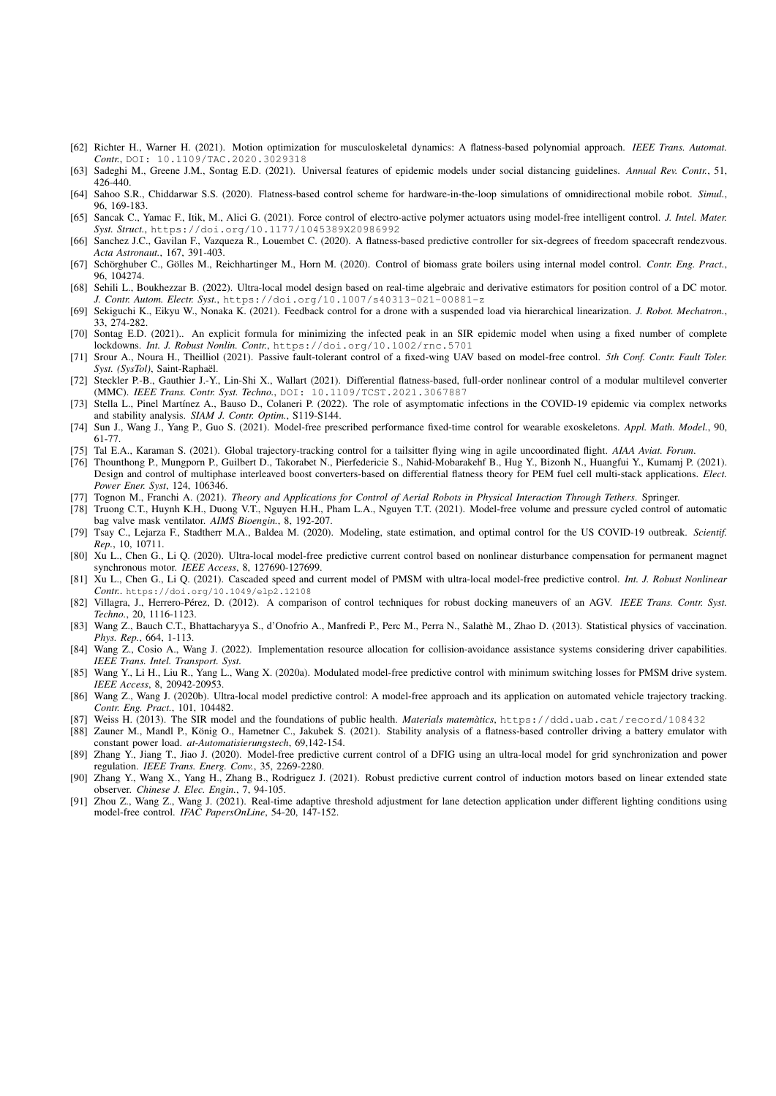- [62] Richter H., Warner H. (2021). Motion optimization for musculoskeletal dynamics: A flatness-based polynomial approach. *IEEE Trans. Automat. Contr.*, DOI: 10.1109/TAC.2020.3029318
- [63] Sadeghi M., Greene J.M., Sontag E.D. (2021). Universal features of epidemic models under social distancing guidelines. *Annual Rev. Contr.*, 51, 426-440.
- [64] Sahoo S.R., Chiddarwar S.S. (2020). Flatness-based control scheme for hardware-in-the-loop simulations of omnidirectional mobile robot. *Simul.*, 96, 169-183.
- [65] Sancak C., Yamac F., Itik, M., Alici G. (2021). Force control of electro-active polymer actuators using model-free intelligent control. *J. Intel. Mater. Syst. Struct.*, https://doi.org/10.1177/1045389X20986992
- [66] Sanchez J.C., Gavilan F., Vazqueza R., Louembet C. (2020). A flatness-based predictive controller for six-degrees of freedom spacecraft rendezvous. *Acta Astronaut.*, 167, 391-403.
- [67] Schörghuber C., Gölles M., Reichhartinger M., Horn M. (2020). Control of biomass grate boilers using internal model control. Contr. Eng. Pract., 96, 104274.
- [68] Sehili L., Boukhezzar B. (2022). Ultra-local model design based on real-time algebraic and derivative estimators for position control of a DC motor. *J. Contr. Autom. Electr. Syst.*, https://doi.org/10.1007/s40313-021-00881-z
- [69] Sekiguchi K., Eikyu W., Nonaka K. (2021). Feedback control for a drone with a suspended load via hierarchical linearization. *J. Robot. Mechatron.*, 33, 274-282.
- [70] Sontag E.D. (2021).. An explicit formula for minimizing the infected peak in an SIR epidemic model when using a fixed number of complete lockdowns. *Int. J. Robust Nonlin. Contr.*, https://doi.org/10.1002/rnc.5701
- [71] Srour A., Noura H., Theilliol (2021). Passive fault-tolerant control of a fixed-wing UAV based on model-free control. *5th Conf. Contr. Fault Toler. Syst. (SysTol)*, Saint-Raphael. ¨
- [72] Steckler P.-B., Gauthier J.-Y., Lin-Shi X., Wallart (2021). Differential flatness-based, full-order nonlinear control of a modular multilevel converter (MMC). *IEEE Trans. Contr. Syst. Techno.*, DOI: 10.1109/TCST.2021.3067887
- [73] Stella L., Pinel Martínez A., Bauso D., Colaneri P. (2022). The role of asymptomatic infections in the COVID-19 epidemic via complex networks and stability analysis. *SIAM J. Contr. Optim.*, S119-S144.
- [74] Sun J., Wang J., Yang P., Guo S. (2021). Model-free prescribed performance fixed-time control for wearable exoskeletons. *Appl. Math. Model.*, 90, 61-77.
- [75] Tal E.A., Karaman S. (2021). Global trajectory-tracking control for a tailsitter flying wing in agile uncoordinated flight. *AIAA Aviat. Forum*.
- [76] Thounthong P., Mungporn P., Guilbert D., Takorabet N., Pierfedericie S., Nahid-Mobarakehf B., Hug Y., Bizonh N., Huangfui Y., Kumamj P. (2021). Design and control of multiphase interleaved boost converters-based on differential flatness theory for PEM fuel cell multi-stack applications. *Elect. Power Ener. Syst*, 124, 106346.
- [77] Tognon M., Franchi A. (2021). *Theory and Applications for Control of Aerial Robots in Physical Interaction Through Tethers*. Springer.
- [78] Truong C.T., Huynh K.H., Duong V.T., Nguyen H.H., Pham L.A., Nguyen T.T. (2021). Model-free volume and pressure cycled control of automatic bag valve mask ventilator. *AIMS Bioengin.*, 8, 192-207.
- [79] Tsay C., Lejarza F., Stadtherr M.A., Baldea M. (2020). Modeling, state estimation, and optimal control for the US COVID-19 outbreak. *Scientif. Rep.*, 10, 10711.
- [80] Xu L., Chen G., Li Q. (2020). Ultra-local model-free predictive current control based on nonlinear disturbance compensation for permanent magnet synchronous motor. *IEEE Access*, 8, 127690-127699.
- [81] Xu L., Chen G., Li Q. (2021). Cascaded speed and current model of PMSM with ultra-local model-free predictive control. *Int. J. Robust Nonlinear Contr.*. https://doi.org/10.1049/elp2.12108
- [82] Villagra, J., Herrero-Perez, D. (2012). A comparison of control techniques for robust docking maneuvers of an AGV. ´ *IEEE Trans. Contr. Syst. Techno.*, 20, 1116-1123.
- [83] Wang Z., Bauch C.T., Bhattacharyya S., d'Onofrio A., Manfredi P., Perc M., Perra N., Salathè M., Zhao D. (2013). Statistical physics of vaccination. *Phys. Rep.*, 664, 1-113.
- [84] Wang Z., Cosio A., Wang J. (2022). Implementation resource allocation for collision-avoidance assistance systems considering driver capabilities. *IEEE Trans. Intel. Transport. Syst.*
- [85] Wang Y., Li H., Liu R., Yang L., Wang X. (2020a). Modulated model-free predictive control with minimum switching losses for PMSM drive system. *IEEE Access*, 8, 20942-20953.
- [86] Wang Z., Wang J. (2020b). Ultra-local model predictive control: A model-free approach and its application on automated vehicle trajectory tracking. *Contr. Eng. Pract.*, 101, 104482.
- [87] Weiss H. (2013). The SIR model and the foundations of public health. *Materials matematics `* , https://ddd.uab.cat/record/108432
- [88] Zauner M., Mandl P., König O., Hametner C., Jakubek S. (2021). Stability analysis of a flatness-based controller driving a battery emulator with constant power load. *at-Automatisierungstech*, 69,142-154.
- [89] Zhang Y., Jiang T., Jiao J. (2020). Model-free predictive current control of a DFIG using an ultra-local model for grid synchronization and power regulation. *IEEE Trans. Energ. Conv.*, 35, 2269-2280.
- [90] Zhang Y., Wang X., Yang H., Zhang B., Rodriguez J. (2021). Robust predictive current control of induction motors based on linear extended state observer. *Chinese J. Elec. Engin.*, 7, 94-105.
- [91] Zhou Z., Wang Z., Wang J. (2021). Real-time adaptive threshold adjustment for lane detection application under different lighting conditions using model-free control. *IFAC PapersOnLine*, 54-20, 147-152.